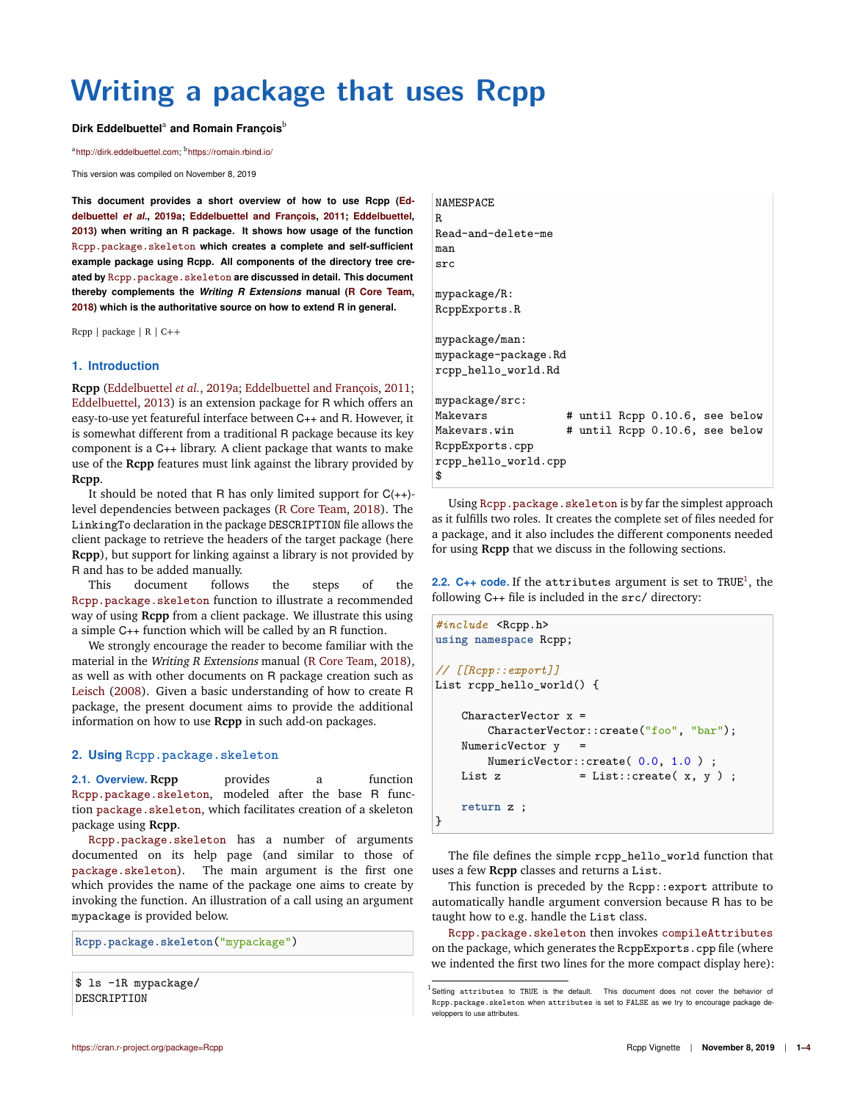# **Writing a package that uses Rcpp**

#### Dirk Eddelbuettel<sup>a</sup> and Romain François<sup>b</sup>

<sup>a</sup>http://dirk.eddelbuettel.com; <sup>b</sup>https://romain.rbind.io/

This version was compiled on November 8, 2019

**This document provides a short overview of how to use Rcpp (Eddelbuettel** *et al.***, 2019a; Eddelbuettel and François, 2011; Eddelbuettel, 2013) when writing an R package. It shows how usage of the function** Rcpp.package.skeleton **which creates a complete and self-sufficient example package using Rcpp. All components of the directory tree created by** Rcpp.package.skeleton **are discussed in detail. This document thereby complements the** *Writing R Extensions* **manual (R Core Team, 2018) which is the authoritative source on how to extend R in general.**

Rcpp | package | R | C++

#### **1. Introduction**

**Rcpp** (Eddelbuettel *et al.*, 2019a; Eddelbuettel and François, 2011; Eddelbuettel, 2013) is an extension package for R which offers an easy-to-use yet featureful interface between C++ and R. However, it is somewhat different from a traditional R package because its key component is a C++ library. A client package that wants to make use of the **Rcpp** features must link against the library provided by **Rcpp**.

It should be noted that R has only limited support for  $C(++)$ level dependencies between packages (R Core Team, 2018). The LinkingTo declaration in the package DESCRIPTION file allows the client package to retrieve the headers of the target package (here **Rcpp**), but support for linking against a library is not provided by R and has to be added manually.

This document follows the steps of the Rcpp.package.skeleton function to illustrate a recommended way of using **Rcpp** from a client package. We illustrate this using a simple C++ function which will be called by an R function.

We strongly encourage the reader to become familiar with the material in the Writing <sup>R</sup> Extensions manual (R Core Team, 2018), as well as with other documents on R package creation such as Leisch (2008). Given a basic understanding of how to create R package, the present document aims to provide the additional information on how to use **Rcpp** in such add-on packages.

#### **2. Using Rcpp.package.skeleton**

**2.1. Overview. Rcpp** provides a function Rcpp.package.skeleton, modeled after the base R function package.skeleton, which facilitates creation of a skeleton package using **Rcpp**.

Rcpp.package.skeleton has a number of arguments documented on its help page (and similar to those of package.skeleton). The main argument is the first one which provides the name of the package one aims to create by invoking the function. An illustration of a call using an argument mypackage is provided below.

**Rcpp.package.skeleton**("mypackage")

\$ ls -1R mypackage/ DESCRIPTION

# NAMESPACE R Read-and-delete-me man src mypackage/R: RcppExports.R mypackage/man: mypackage-package.Rd rcpp\_hello\_world.Rd mypackage/src: Makevars # until Rcpp 0.10.6, see below Makevars.win # until Rcpp 0.10.6, see below RcppExports.cpp

rcpp\_hello\_world.cpp

\$

Using Rcpp.package.skeleton is by far the simplest approach as it fulfills two roles. It creates the complete set of files needed for a package, and it also includes the different components needed for using **Rcpp** that we discuss in the following sections.

**2.2. C++ code.** If the attributes argument is set to  $\text{TRUE}^1$ , the following C++ file is included in the src/ directory:

```
#include <Rcpp.h>
using namespace Rcpp;
// [[Rcpp::export]]
List rcpp_hello_world() {
   CharacterVector x =
       CharacterVector::create("foo", "bar");
   NumericVector y =
       NumericVector::create( 0.0, 1.0 ) ;
   List z = List::create(x, y);
   return z ;
}
```
The file defines the simple rcpp\_hello\_world function that uses a few **Rcpp** classes and returns a List.

This function is preceded by the Rcpp::export attribute to automatically handle argument conversion because R has to be taught how to e.g. handle the List class.

Rcpp.package.skeleton then invokes compileAttributes on the package, which generates the RcppExports.cpp file (where we indented the first two lines for the more compact display here):

 $^1$ Setting attributes to TRUE is the default. This document does not cover the behavior of Rcpp.package.skeleton when attributes is set to FALSE as we try to encourage package developpers to use attributes.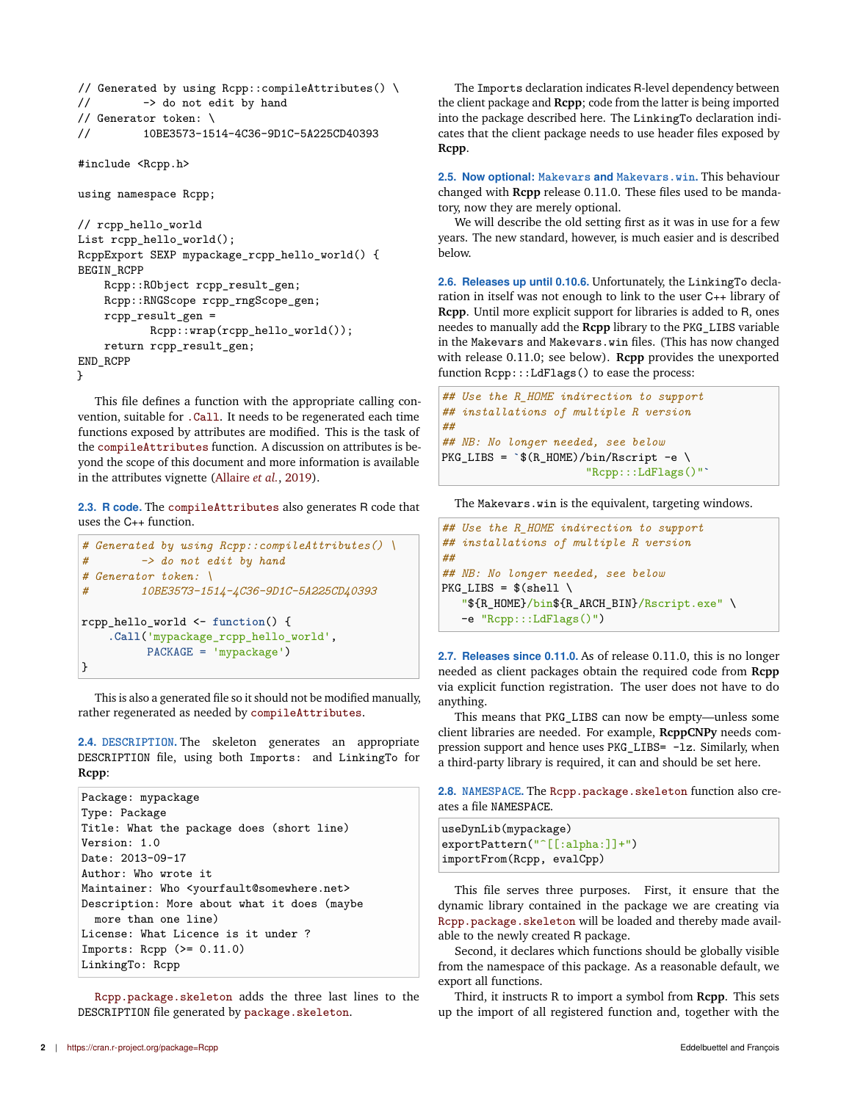```
// Generated by using Rcpp::compileAttributes() \setminus// -> do not edit by hand
// Generator token: \
// 10BE3573-1514-4C36-9D1C-5A225CD40393
```

```
#include <Rcpp.h>
```
using namespace Rcpp;

```
// rcpp_hello_world
List rcpp_hello_world();
RcppExport SEXP mypackage_rcpp_hello_world() {
BEGIN_RCPP
    Rcpp::RObject rcpp_result_gen;
    Rcpp::RNGScope rcpp_rngScope_gen;
    rcpp_result_gen =
           Rcpp::wrap(rcpp_hello_world());
    return rcpp_result_gen;
END_RCPP
}
```
This file defines a function with the appropriate calling convention, suitable for .Call. It needs to be regenerated each time functions exposed by attributes are modified. This is the task of the compileAttributes function. A discussion on attributes is beyond the scope of this document and more information is available in the attributes vignette (Allaire *et al.*, 2019).

**2.3. R code.** The compileAttributes also generates R code that uses the C++ function.

```
# Generated by using Rcpp::compileAttributes() \
# -> do not edit by hand
# Generator token: \
# 10BE3573-1514-4C36-9D1C-5A225CD40393
rcpp_hello_world <- function() {
   .Call('mypackage_rcpp_hello_world',
         PACKAGE = 'mypackage')
}
```
This is also a generated file so it should not be modified manually, rather regenerated as needed by compileAttributes.

**2.4. DESCRIPTION.** The skeleton generates an appropriate DESCRIPTION file, using both Imports: and LinkingTo for **Rcpp**:

```
Package: mypackage
Type: Package
Title: What the package does (short line)
Version: 1.0
Date: 2013-09-17
Author: Who wrote it
Maintainer: Who <yourfault@somewhere.net>
Description: More about what it does (maybe
  more than one line)
License: What Licence is it under ?
Imports: Rcpp (>= 0.11.0)
LinkingTo: Rcpp
```
Rcpp.package.skeleton adds the three last lines to the DESCRIPTION file generated by package.skeleton.

The Imports declaration indicates R-level dependency between the client package and **Rcpp**; code from the latter is being imported into the package described here. The LinkingTo declaration indicates that the client package needs to use header files exposed by **Rcpp**.

**2.5. Now optional: Makevars and Makevars.win.** This behaviour changed with **Rcpp** release 0.11.0. These files used to be mandatory, now they are merely optional.

We will describe the old setting first as it was in use for a few years. The new standard, however, is much easier and is described below.

**2.6. Releases up until 0.10.6.** Unfortunately, the LinkingTo declaration in itself was not enough to link to the user C++ library of **Rcpp**. Until more explicit support for libraries is added to R, ones needes to manually add the **Rcpp** library to the PKG\_LIBS variable in the Makevars and Makevars.win files. (This has now changed with release 0.11.0; see below). **Rcpp** provides the unexported function Rcpp:::LdFlags() to ease the process:

```
## Use the R_HOME indirection to support
## installations of multiple R version
##
## NB: No longer needed, see below
PKG_LIBS = `$(R_HOME)/bin/Rscript -e \
                      "Rcpp:::LdFlags()"`
```
The Makevars.win is the equivalent, targeting windows.

```
## Use the R_HOME indirection to support
## installations of multiple R version
##
## NB: No longer needed, see below
PKG_LIBS = $(shell \)"${R_HOME}/bin${R_ARCH_BIN}/Rscript.exe" \
  -e "Rcpp:::LdFlags()")
```
**2.7. Releases since 0.11.0.** As of release 0.11.0, this is no longer needed as client packages obtain the required code from **Rcpp** via explicit function registration. The user does not have to do anything.

This means that PKG\_LIBS can now be empty—unless some client libraries are needed. For example, **RcppCNPy** needs compression support and hence uses PKG\_LIBS= -lz. Similarly, when a third-party library is required, it can and should be set here.

**2.8. NAMESPACE.** The Rcpp.package.skeleton function also creates a file NAMESPACE.

```
useDynLib(mypackage)
exportPattern("^[[:alpha:]]+")
importFrom(Rcpp, evalCpp)
```
This file serves three purposes. First, it ensure that the dynamic library contained in the package we are creating via Rcpp.package.skeleton will be loaded and thereby made available to the newly created R package.

Second, it declares which functions should be globally visible from the namespace of this package. As a reasonable default, we export all functions.

Third, it instructs R to import a symbol from **Rcpp**. This sets up the import of all registered function and, together with the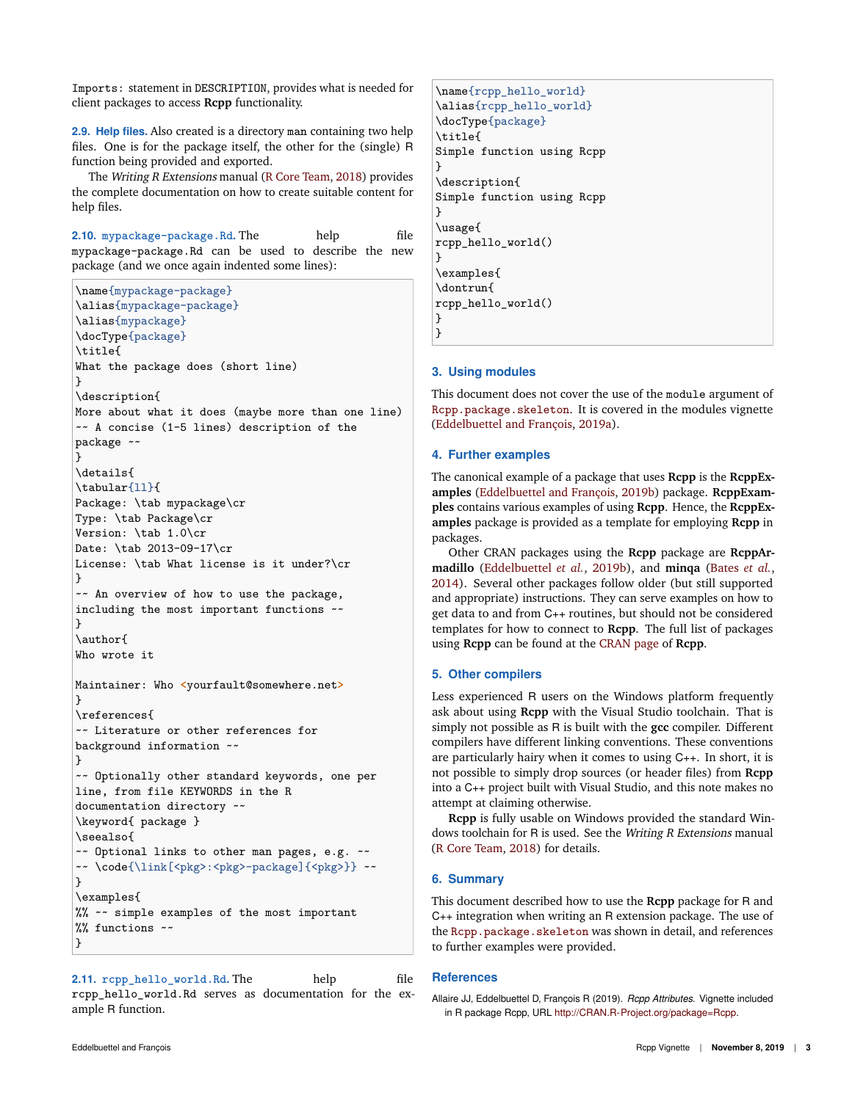Imports: statement in DESCRIPTION, provides what is needed for client packages to access **Rcpp** functionality.

**2.9. Help files.** Also created is a directory man containing two help files. One is for the package itself, the other for the (single) R function being provided and exported.

The Writing <sup>R</sup> Extensions manual (R Core Team, 2018) provides the complete documentation on how to create suitable content for help files.

**2.10. mypackage-package.Rd.** The help file mypackage-package.Rd can be used to describe the new package (and we once again indented some lines):

```
\name{mypackage-package}
\alias{mypackage-package}
\alias{mypackage}
\docType{package}
\title{
What the package does (short line)
}
\description{
More about what it does (maybe more than one line)
~~ A concise (1-5 lines) description of the
package ~~
}
\details{
\tabular{11}{
Package: \tab mypackage\cr
Type: \tab Package\cr
Version: \tab 1.0\cr
Date: \tab 2013-09-17\cr
License: \tab What license is it under?\cr
}
~~ An overview of how to use the package,
including the most important functions ~\sim~}
\author{
Who wrote it
Maintainer: Who <yourfault@somewhere.net>
}
\references{
~~ Literature or other references for
background information ~~
}
~~ Optionally other standard keywords, one per
line, from file KEYWORDS in the R
documentation directory ~~
\keyword{ package }
\seealso{
~~ Optional links to other man pages, e.g. ~~
~~ \code{\link[<pkg>:<pkg>-package]{<pkg>}} ~~
}
\examples{
%% ~~ simple examples of the most important
%% functions ~~
}
```
**2.11. rcpp\_hello\_world.Rd.** The help file rcpp\_hello\_world.Rd serves as documentation for the example R function.

```
\name{rcpp_hello_world}
\alias{rcpp_hello_world}
\docType{package}
\title{
Simple function using Rcpp
}
\description{
Simple function using Rcpp
}
\usage{
rcpp_hello_world()
}
\examples{
\dontrun{
rcpp_hello_world()
}
```
### **3. Using modules**

 $\mathbf{R}$ 

This document does not cover the use of the module argument of Rcpp.package.skeleton. It is covered in the modules vignette (Eddelbuettel and François, 2019a).

#### **4. Further examples**

The canonical example of a package that uses **Rcpp** is the **RcppExamples** (Eddelbuettel and François, 2019b) package. **RcppExamples** contains various examples of using **Rcpp**. Hence, the **RcppExamples** package is provided as a template for employing **Rcpp** in packages.

Other CRAN packages using the **Rcpp** package are **RcppArmadillo** (Eddelbuettel *et al.*, 2019b), and **minqa** (Bates *et al.*, 2014). Several other packages follow older (but still supported and appropriate) instructions. They can serve examples on how to get data to and from C++ routines, but should not be considered templates for how to connect to **Rcpp**. The full list of packages using **Rcpp** can be found at the CRAN page of **Rcpp**.

#### **5. Other compilers**

Less experienced R users on the Windows platform frequently ask about using **Rcpp** with the Visual Studio toolchain. That is simply not possible as R is built with the **gcc** compiler. Different compilers have different linking conventions. These conventions are particularly hairy when it comes to using C++. In short, it is not possible to simply drop sources (or header files) from **Rcpp** into a C++ project built with Visual Studio, and this note makes no attempt at claiming otherwise.

**Rcpp** is fully usable on Windows provided the standard Windows toolchain for R is used. See the Writing R Extensions manual (R Core Team, 2018) for details.

# **6. Summary**

This document described how to use the **Rcpp** package for R and C++ integration when writing an R extension package. The use of the Rcpp.package.skeleton was shown in detail, and references to further examples were provided.

## **References**

Allaire JJ, Eddelbuettel D, François R (2019). *Rcpp Attributes*. Vignette included in R package Rcpp, URL http://CRAN.R-Project.org/package=Rcpp.